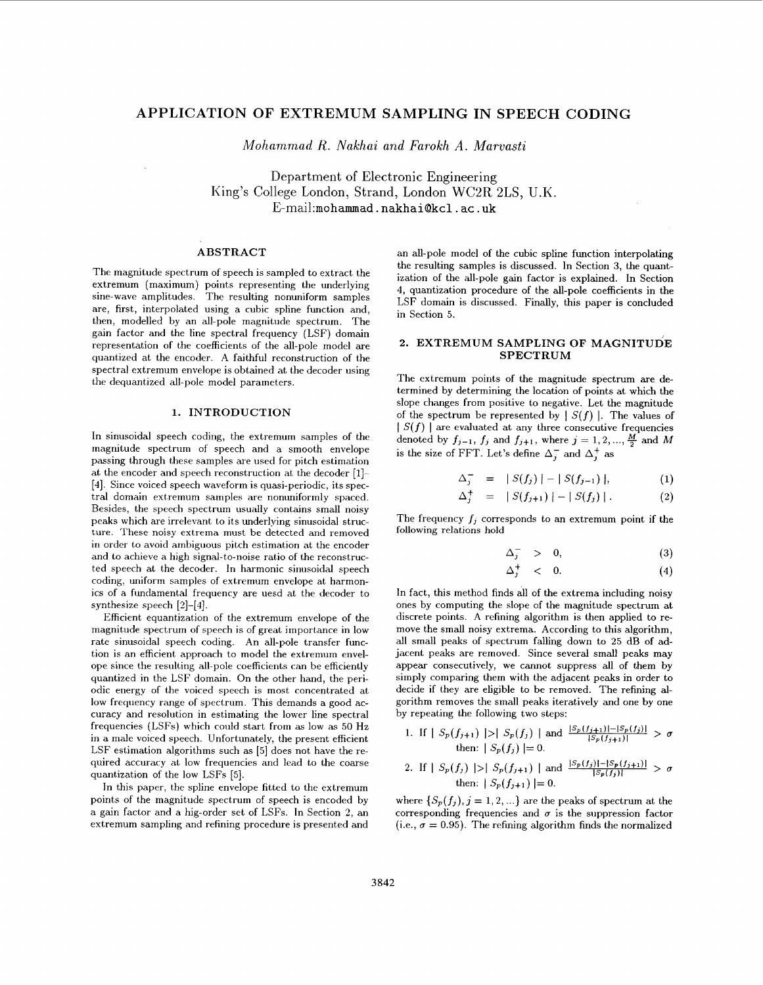# **APPLICATION OF EXTREMUM SAMPLING IN SPEECH CODING**

*Mohammad R. Nakhai and Farokh A. Marvasti* 

Department of Electronic Engineering King's College London, Strand, London WC2R 2LS, U.K. E-mai1:mohammad . **nakhaiakcl** . ac . **uk** 

### **ABSTRACT**

The magnitude spectrum of speech is sampled to extract the extremum (maximum) points representing the underlying sine-wave amplitudes. The resulting nonuniform samples are, first, interpolated using **a** cubic spline function and, then, modelled by an all-pole magnitude spectrum. The gain factor and the line spectral frequency (LSF) domain representation of the coefficients of the all-pole model are quantized at the encoder. A faithful reconstruction of the spectral extremum envelope is obtained at the decoder using the dequantized all-pole model parameters.

## **1. INTRODUCTION**

In sinusoidal speech coding, the extremum samples of the magnitude spectrum of speech and a smooth envelope passing through these samples are used for pitch estimation at the encoder and speech reconstruction at the decoder [1]-**[4].** Since voiced speech waveform is quasi-periodic, its spectral domain extremum samples are nonuniformly spaced. Besides, the speech spectrum usually contains small noisy peaks which are irrelevant to its underlying sinusoidal structure. These noisy extrema must be detected and removed in order to avoid ambiguous pitch estimation at the encoder and to achieve a high signal-to-noise ratio of the reconstructed speech at the decoder. In harmonic sinusoidal speech coding, uniform samples of extremum envelope at harmonics of a fundamental frequency are uesd at the decoder to synthesize speech [2]-[4].

Efficient equantization of the extremum envelope of the magnitude spectrum of speech is of great importance in low rate sinusoidal speech coding. An all-pole transfer function is an efficient approach to model the extremum envelope since the resulting all-pole coefficients can be efficiently quantized in the LSF domain. On the other hand, the periodic energy of the voiced speech is most concentrated at low frequency range of spectrum. This demands **a** good accuracy and resolution in estimating the lower line spectral frequencies (LSFs) which could start from as low as 50 Hz in **a** male voiced speech. Unfortunately, the present efficient LSF estimation algorithms such as  $[5]$  does not have the required accuracy at low frequencies and lead to the coarse quantization of the low LSFs [5].

In this paper, the spline envelope fitted to the extremum points of the magnitude spectrum of speech is encoded by a gain factor and a hig-order set of LSFs. In Section 2, an extremum sampling and refining procedure is presented and an all-pole model of the cubic spline function interpolating the resulting samples is discussed. In Section *3,* the quantization of the all-pole gain factor is explained. In Section **4,** quantization procedure of the all-pole coefficients in the LSF domain is discussed. Finally, this paper is concluded in Section 5.

## **2. EXTREMUM SAMPLING OF MAGNITUDE SPECTRUM**

The extremum points of the magnitude spectrum are determined by determining the location of points at which the slope changes from positive to negative. Let the magnitude of the spectrum be represented by  $|S(f)|$ . The values of  $|S(f)|$  are evaluated at any three consecutive frequencies denoted by  $f_{j-1}$ ,  $f_j$  and  $f_{j+1}$ , where  $j = 1, 2, ..., \frac{M}{2}$  and *M* is the size of FFT. Let's define  $\Delta_i^-$  and  $\Delta_i^+$  as

$$
\Delta_{j}^{-} = |S(f_{j})| - |S(f_{j-1})|, \qquad (1)
$$

$$
\Delta_j^+ = |S(f_{j+1})| - |S(f_j)|. \tag{2}
$$

The frequency *f,* corresponds to an extremum point if the following relations hold

$$
\Delta_j^- > 0, \qquad (3)
$$

$$
\Delta_j^+ \quad < \quad 0. \tag{4}
$$

In fact, this method finds all of the extrema including noisy ones by computing the slope of the magnitude spectrum at discrete points. A refining algorithm is then applied to remove the small noisy extrema. According to this algorithm, all small peaks of spectrum falling down to 25 dB of adjacent peaks are removed. Since several small peaks may appear consecutively, we cannot suppress all of them by simply comparing them with the adjacent peaks in order to decide if they are eligible to be removed. The refining algorithm removes the small peaks iteratively and one by one by repeating the following two steps:

1. If 
$$
|S_p(f_{j+1})| > |S_p(f_j)|
$$
 and  $\frac{|S_p(f_{j+1})| - |S_p(f_j)|}{|S_p(f_{j+1})|} > \sigma$   
then:  $|S_p(f_j)| = 0$ .

2. If 
$$
|S_p(f_j)| > |S_p(f_{j+1})|
$$
 and  $\frac{|S_p(f_j)| - |S_p(f_{j+1})|}{|S_p(f_j)|} > \sigma$   
then:  $|S_p(f_{j+1})| = 0$ .

where  $\{S_p(f_i), j = 1, 2, ...\}$  are the peaks of spectrum at the corresponding frequencies and  $\sigma$  is the suppression factor (i.e.,  $\sigma = 0.95$ ). The refining algorithm finds the normalized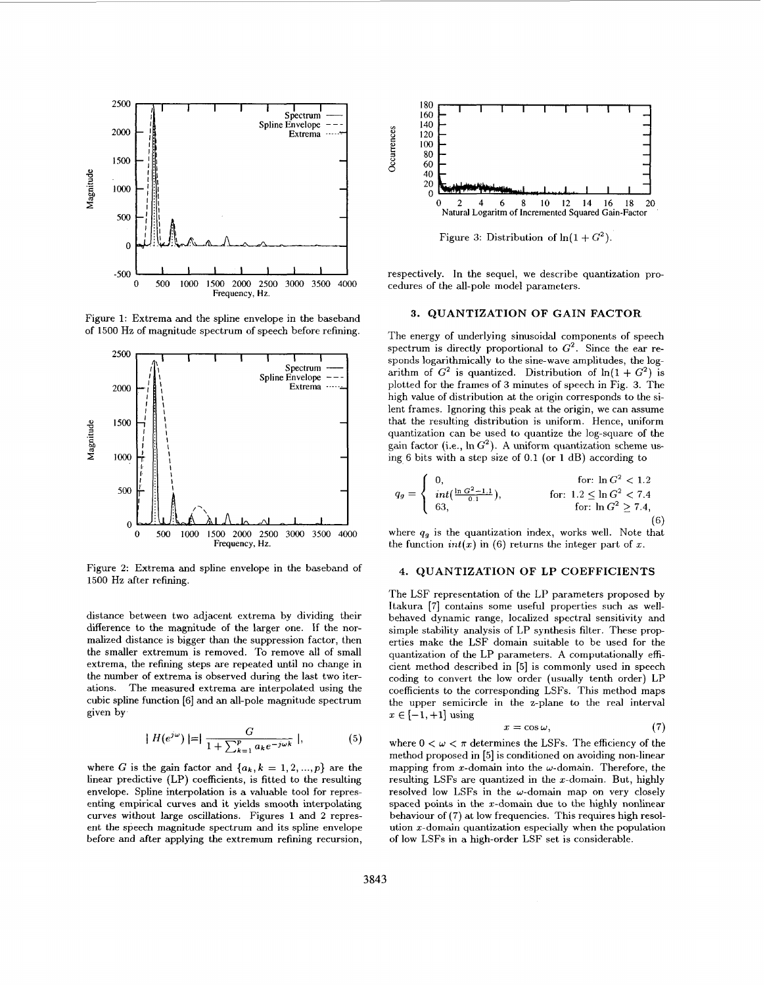

**3. QUANTIZATION OF GAIN FACTOR** of 1500 Hz of magnitude spectrum of speech before refining. The energy of underlying eigenvalued components of m



Figure **2:** Extrema and spline envelope in the baseband of 1500 Hz after refining.

distance between two adjacent extrema by dividing their difference to the magnitude of the larger one. If the normalized distance is bigger than the suppression factor, then the smaller extremum is removed. To remove all of small extrema, the refining steps are repeated until no change in the number **of** extrema is observed during the last two iterations. The measured extrema are interpolated using the cubic spline function [6] and an all-pole magnitude spectrum given by

$$
|H(e^{j\omega})| = |\frac{G}{1 + \sum_{k=1}^{p} a_k e^{-j\omega k}}|,
$$
 (5)

where G is the gain factor and  $\{a_k, k = 1, 2, ..., p\}$  are the linear predictive (LP) coefficients, is fitted to the resulting envelope. Spline interpolation is a valuable tool for representing empirical curves and it yields smooth interpolating curves without large oscillations. Figures 1 and **2** represent the speech magnitude spectrum and its spline envelope before and after applying the extremum refining recursion,



Figure 3: Distribution of  $ln(1+G^2)$ .

respectively. In the sequel, we describe quantization procedures of the all-pole model parameters.

The energy of underlying sinusoidal components of speech spectrum is directly proportional to  $G^2$ . Since the ear responds logarithmically to the sine-wave amplitudes, the logarithm of  $G^2$  is quantized. Distribution of  $ln(1 + G^2)$  is plotted for the frames of *3* minutes of speech in Fig. *3.* The high value of distribution at the origin corresponds to the silent frames. Ignoring this peak at the origin, we can assume that the resulting distribution is uniform. Hence, uniform quantization can be used to quantize the log-square of the gain factor (i.e.,  $\ln G^2$ ). A uniform quantization scheme using 6 bits with a step size of 0.1 (or 1 dB) according to

$$
q_g = \begin{cases} 0, & \text{for: } \ln G^2 < 1.2\\ \int_{63}^{1} \frac{\ln G^2 - 1.1}{0.1}, & \text{for: } 1.2 \le \ln G^2 < 7.4\\ 63, & \text{for: } \ln G^2 \ge 7.4, \end{cases}
$$

where  $q_g$  is the quantization index, works well. Note that the function  $int(x)$  in (6) returns the integer part of x.

# **4. QUANTIZATION OF LP COEFFICIENTS**

The LSF representation of the LP parameters proposed by Itakura **[7]** contains some useful properties such as wellbehaved dynamic range, localized spectral sensitivity and simple stability analysis of LP synthesis filter. These properties make the LSF domain suitable to be used for the quantization of the LP parameters. **A** computationally efficient method described in [5] is commonly used in speech coding to convert the low order (usually tenth order) LP coefficients to the corresponding LSFs. This method maps the upper semicircle in the z-plane to the real interval  $x \in [-1,+1]$  using

$$
x = \cos \omega, \tag{7}
$$

where  $0 < \omega < \pi$  determines the LSFs. The efficiency of the method proposed in [5] is conditioned on avoiding non-linear mapping from x-domain into the  $\omega$ -domain. Therefore, the resulting LSFs are quantized in the  $x$ -domain. But, highly resolved low LSFs in the  $\omega$ -domain map on very closely spaced points in the z-domain due to the highly nonlinear behaviour **of** (7) at low frequencies. This requires high resolution  $x$ -domain quantization especially when the population of low LSFs in a high-order LSF set is considerable.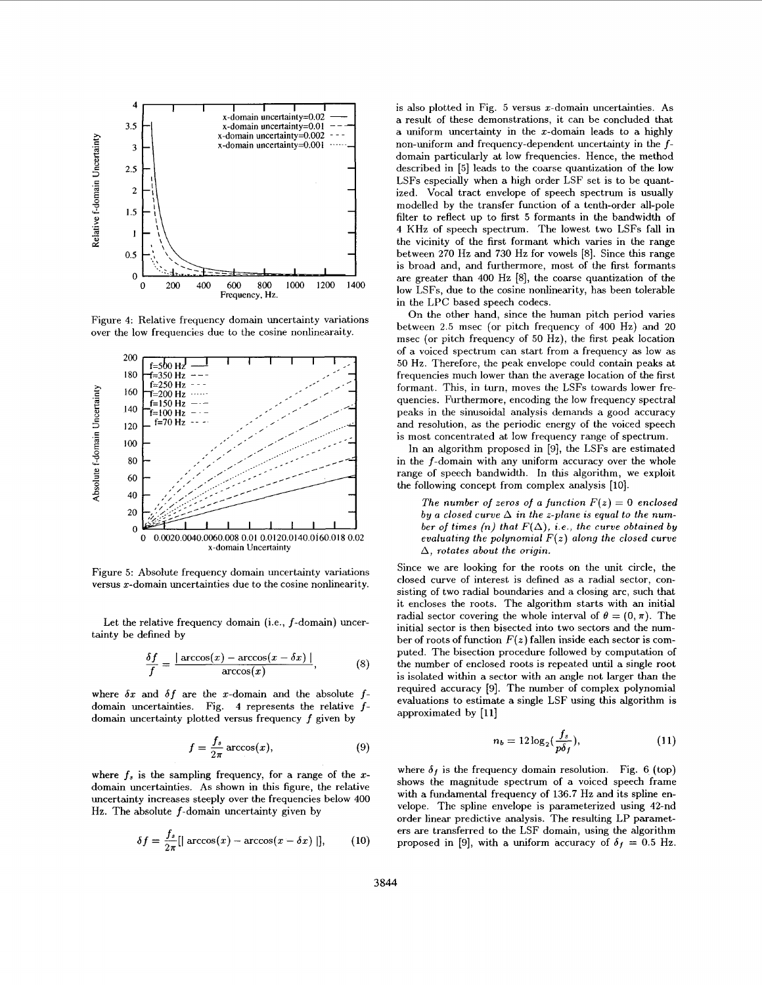

Figure 4: Relative frequency domain uncertainty variations over the low frequencies due to the cosine nonlinearaity.



Figure 5: Absolute frequency domain uncertainty variations versus  $x$ -domain uncertainties due to the cosine nonlinearity.

Let the relative frequency domain (i.e., f-domain) uncertainty be defined by

$$
\frac{\delta f}{f} = \frac{|\arccos(x) - \arccos(x - \delta x)|}{\arccos(x)},
$$
\n(8)

where  $\delta x$  and  $\delta f$  are the x-domain and the absolute  $f$ domain uncertainties. Fig. **3** represents the relative *f-*

domain uncertainty plotted versus frequency 
$$
f
$$
 given by  
\n
$$
f = \frac{f_s}{2\pi} \arccos(x),
$$
\n(9)

where  $f_s$  is the sampling frequency, for a range of the *x*domain uncertainties. As shown in this figure, the relative uncertainty increases steeply over the frequencies below **400**  Hz. The absolute  $f$ -domain uncertainty given by

$$
\delta f = \frac{f_s}{2\pi} [\text{arccos}(x) - \text{arccos}(x - \delta x) \text{ } ]], \quad (10)
$$

is also plotted in Fig. 5 versus x-domain uncertainties. **As**  a result of these demonstrations, it can be concluded that a uniform uncertainty in the  $x$ -domain leads to a highly non-uniform and frequency-dependent uncertainty in the  $f$ domain particularly at low frequencies. Hence, the method described in [5] leads to the coarse quantization of the low LSFs especially when a high order LSF set is to be quantized. Vocal tract envelope of speech spectrum is usually modelled by the transfer function of a tenth-order all-pole filter to reflect up to first 5 formants in the bandwidth of **4** KHz of speech spectrum. The lowest two LSFs fall in the vicinity of the first formant which varies in the range between 270 Hz and 730 Hz for vowels *[8].* Since this range is broad and, and furthermore, most of the first formants are greater than 400 Hz [SI, the coarse quantization of the low LSFs, due to the cosine nonlinearity, has been tolerable in the LPC based speech codecs.

On the other hand, since the human pitch period varies between 2.5 msec (or pitch frequency of 400 Hz) and **20**  msec (or pitch frequency of *50* Hz), the first peak location of a voiced spectrum can start from a frequency **as** low as *50* Hz. Therefore, the peak envelope could contain peaks at frequencies much lower than the average location of the first formant. This, in turn, moves the LSFs towards lower frequencies. Furthermore, encoding the low frequency spectral peaks in the sinusoidal analysis demands a good accuracy and resolution, as the periodic energy of the voiced speech is most concentrated at low frequency range of spectrum.

In an algorithm proposed in [9], the LSFs are estimated in the f-domain with any uniform accuracy over the whole range of speech bandwidth. In this algorithm, we exploit the following concept from complex analysis [lo].

The number of zeros of a function  $F(z) = 0$  enclosed *by a closed curve*  $\Delta$  *in the z-plane is equal to the num*ber of times (n) that  $F(\Delta)$ , *i.e.*, the curve obtained by evaluating the polynomial  $F(z)$  along the closed curve  $\Delta$ , rotates about the origin.

Since we are looking for the roots on the unit circle, the closed curve of interest is defined as a radial sector, consisting of two radial boundaries and a closing arc, such that it encloses the roots. The algorithm starts with an initial radial sector covering the whole interval of  $\theta = (0, \pi)$ . The initial sector is then bisected into two sectors and the number of roots of function  $F(z)$  fallen inside each sector is computed. The bisection procedure followed by computation of the number of enclosed roots is repeated until a single root is isolated within a sector with an angle not larger than the required accuracy [9]. The number of complex polynomial evaluations to estimate a single LSF using this algorithm is approximated by [ll]

$$
n_b = 12\log_2(\frac{f_s}{p\delta_f}),\tag{11}
$$

where  $\delta_f$  is the frequency domain resolution. Fig. 6 (top) shows the magnitude spectrum of a voiced speech frame with a fundamental frequency of 136.7 Hz and its spline envelope. The spline envelope is parameterized using 42-nd order linear predictive analysis. The resulting LP parameters are transferred to the LSF domain, using the algorithm proposed in [9], with a uniform accuracy of  $\delta_f = 0.5$  Hz.